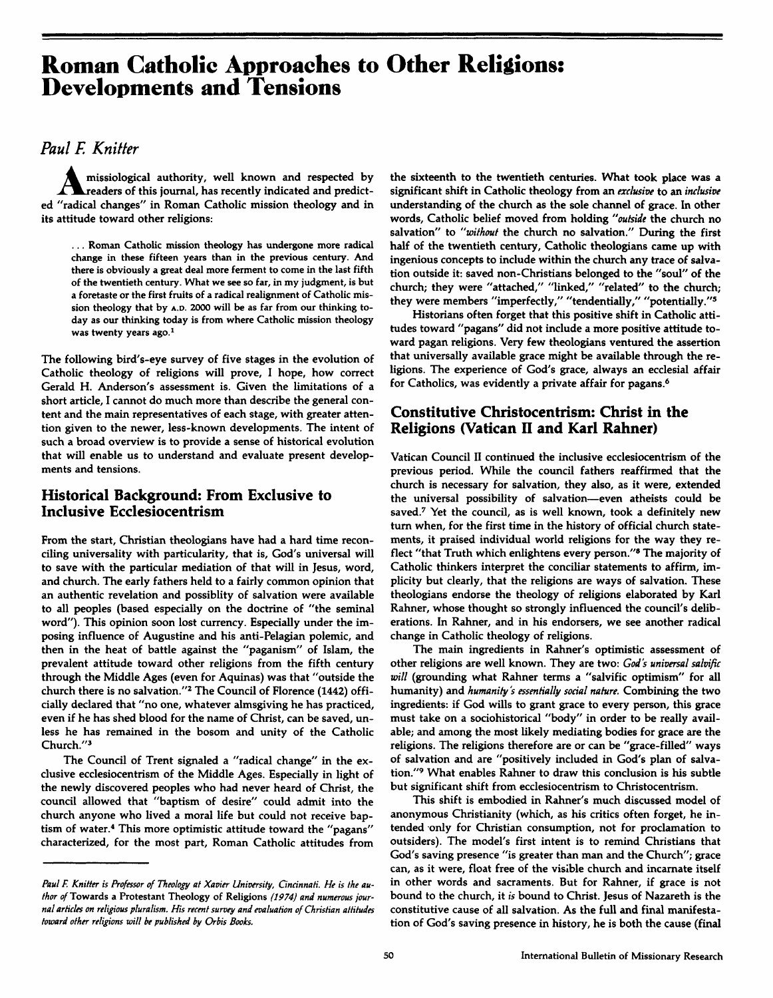# **Roman Catholic Approaches to Other Religions: Developments and Tensions**

## *Paul E Knitter*

**Amissiological authority, well known and respected by**<br> **readers of this journal, has recently indicated and predict-**<br> **reading hanger**  $\alpha$  **reading**  $\alpha$  **reading ed "radical changes" in Roman Catholic mission theology and in its attitude toward other religions:** 

**... Roman Catholic mission theology has undergone more radical change in these fifteen years than in the previous century. And there is obviously a great deal more ferment to come in the last fifth of the twentieth century. What we see so far, in my judgment, is but a foretaste or the first fruits of a radical realignment of Catholic mission theology that by A.D. 2000 will be as far from our thinking today as our thinking today is from where Catholic mission theology was twenty years ago.<sup>1</sup>**

**The following bird's-eye survey of five stages in the evolution of Catholic theology of religions will prove, I hope, how correct Gerald H. Anderson's assessment is. Given the limitations of a short article, I cannot do much more than describe the general content and the main representatives of each stage, with greater attention given to the newer, less-known developments. The intent of such a broad overview is to provide a sense of historical evolution that will enable us to understand and evaluate present developments and tensions.** 

### **Historical Background: From Exclusive to Inclusive Ecclesiocentrism**

**From the start. Christian theologians have had a hard time reconciling universality with particularity, that is, God's universal will to save with the particular mediation of that will in Jesus, word, and church. The early fathers held to a fairly common opinion that an authentic revelation and possiblity of salvation were available to all peoples (based especially on the doctrine of "the seminal word"). This opinion soon lost currency. Especially under the imposing influence of Augustine and his anti-Pelagian polemic, and then in the heat of battle against the "paganism" of Islam, the prevalent attitude toward other religions from the fifth century through the Middle Ages (even for Aquinas) was that "outside the church there is no salvation."<sup>2</sup> The Council of Florence (1442) officially declared that "no one, whatever almsgiving he has practiced, even if he has shed blood for the name of Christ, can be saved, unless he has remained in the bosom and unity of the Catholic Church."<sup>3</sup>**

**The Council of Trent signaled a "radical change" in the exclusive ecclesiocentrism of the Middle Ages. Especially in light of the newly discovered peoples who had never heard of Christ, the council allowed that "baptism of desire" could admit into the church anyone who lived a moral life but could not receive baptism of water.<sup>4</sup> This more optimistic attitude toward the "pagans" characterized, for the most part, Roman Catholic attitudes from** 

**the sixteenth to the twentieth centuries. What took place was a significant shift in Catholic theology from an** *exclusive* **to an** *inclusive*  **understanding of the church as the sole channel of grace. In other words. Catholic belief moved from holding** *"outside* **the church no salvation" to** *"without* **the church no salvation." During the first half of the twentieth century. Catholic theologians came up with ingenious concepts to include within the church any trace of salvation outside it: saved non-Christians belonged to the "soul" of the church; they were "attached," "linked," "related" to the church; they were members "imperfectly," "tendentially," "potentially."<sup>5</sup>**

**Historians often forget that this positive shift in Catholic attitudes toward "pagans" did not include a more positive attitude toward pagan religions. Very few theologians ventured the assertion that universally available grace might be available through the religions. The experience of God's grace, always an ecclesial affair for Catholics, was evidently a private affair for pagans.<sup>6</sup>**

### **Constitutive Christocentrism: Christ in the Religions (Vatican II and Karl Rahner)**

**Vatican Council II continued the inclusive ecclesiocentrism of the previous period. While the council fathers reaffirmed that the church is necessary for salvation, they also, as it were, extended the universal possibility of salvation—even atheists could be saved.<sup>7</sup> Yet the council, as is well known, took a definitely new turn when, for the first time in the history of official church statements, it praised individual world religions for the way they reflect "that Truth which enlightens every person."<sup>8</sup> The majority of Catholic thinkers interpret the conciliar statements to affirm, implicity but clearly, that the religions are ways of salvation. These theologians endorse the theology of religions elaborated by Karl Rahner, whose thought so strongly influenced the council's deliberations. In Rahner, and in his endorsers, we see another radical change in Catholic theology of religions.** 

**The main ingredients in Rahner's optimistic assessment of other religions are well known. They are two:** *God's universal salvific will* **(grounding what Rahner terms a "salvific optimism" for all**  humanity) **and** *humanity's essentially social nature.* **Combining the two ingredients: if God wills to grant grace to every person, this grace must take on a sociohistorical "body" in order to be really available; and among the most likely mediating bodies for grace are the religions. The religions therefore are or can be "grace-filled" ways of salvation and are "positively included in God's plan of salvation."<sup>9</sup> What enables Rahner to draw this conclusion is his subtle but significant shift from ecclesiocentrism to Christocentrism.** 

**This shift is embodied in Rahner's much discussed model of anonymous Christianity (which, as his critics often forget, he intended only for Christian consumption, not for proclamation to outsiders). The model's first intent is to remind Christians that God's saving presence "is greater than man and the Church"; grace can, as it were, float free of the visible church and incarnate itself in other words and sacraments. But for Rahner, if grace is not bound to the church, it** *is* **bound to Christ. Jesus of Nazareth is the constitutive cause of all salvation. As the full and final manifestation of God's saving presence in history, he is both the cause (final** 

*Paul E Knitter is Professor of Theology at Xavier University, Cincinnati. He is the author of* **Towards a Protestant Theology of Religions** *(1974) and numerous journal articles on religious pluralism. His recent survey and evaluation of Christian attitudes toward other religions will be published by Orbis Books.*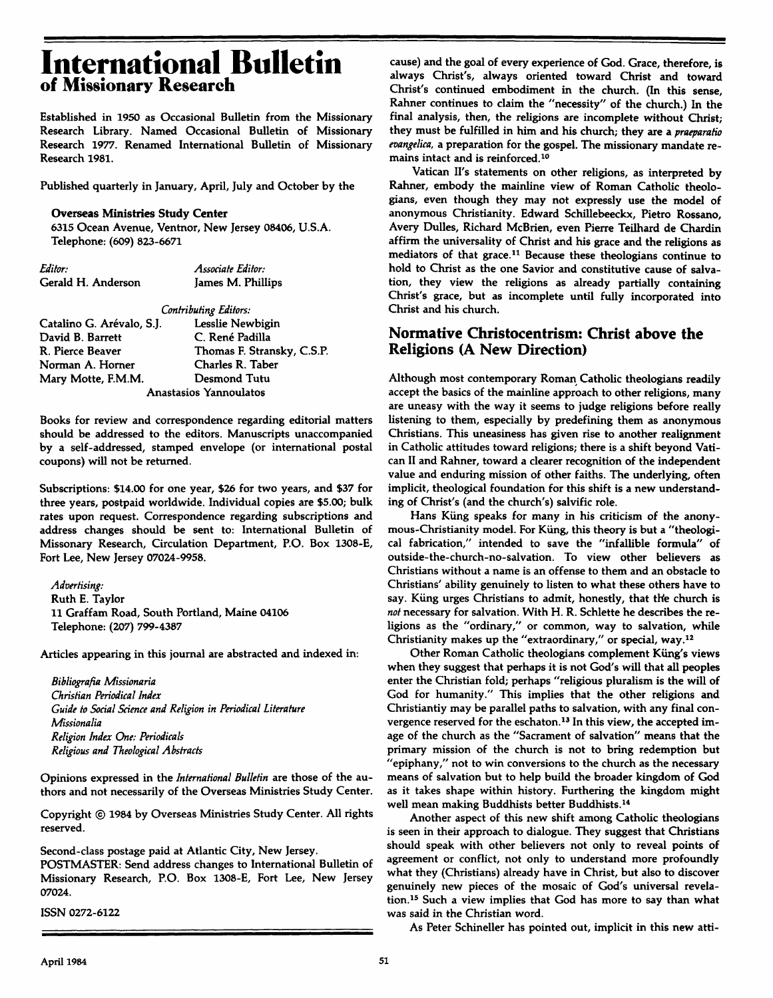# **International Bulletin of Missionary Research**

Established in 1950 as Occasional Bulletin from the Missionary Research Library. Named Occasional Bulletin of Missionary Research 1977. Renamed International Bulletin of Missionary Research 1981.

Published quarterly in January, April, July and October by the

#### **Overseas Ministries Study Center**

6315 Ocean Avenue, Ventnor, New Jersey 08406, U.S.A. Telephone: (609) 823-6671

| Editor:            | Associate Editor: |
|--------------------|-------------------|
| Gerald H. Anderson | James M. Phillips |

*Contributing Editors:* 

| Catalino G. Arévalo, S.I. | Lesslie Newbigin           |
|---------------------------|----------------------------|
| David B. Barrett          | C. René Padilla            |
| R. Pierce Beaver          | Thomas F. Stransky, C.S.P. |
| Norman A. Horner          | Charles R. Taber           |
| Mary Motte, F.M.M.        | Desmond Tutu               |
|                           | Anastasios Yannoulatos     |

Books for review and correspondence regarding editorial matters should be addressed to the editors. Manuscripts unaccompanied by a self-addressed, stamped envelope (or international postal coupons) will not be returned.

Subscriptions: \$14.00 for one year, \$26 for two years, and \$37 for three years, postpaid worldwide. Individual copies are \$5.00; bulk rates upon request. Correspondence regarding subscriptions and address changes should be sent to: International Bulletin of Missonary Research, Circulation Department, P.O. Box 1308-E, Fort Lee, New Jersey 07024-9958.

*Advertising:*  Ruth E. Taylor 11 Graffam Road, South Portland, Maine 04106 Telephone: (207) 799-4387

Articles appearing in this journal are abstracted and indexed in:

*Bibliografia Missionaria Christian Periodical Index Guide to Sodai Science and Religion in Periodical Literature Missionalia Religion Index One: Periodicals Religious and Theological Abstracts* 

Opinions expressed in the *International Bulletin* are those of the authors and not necessarily of the Overseas Ministries Study Center.

Copyright © 1984 by Overseas Ministries Study Center. All rights reserved.

Second-class postage paid at Atlantic City, New Jersey. POSTMASTER: Send address changes to International Bulletin of Missionary Research, P.O. Box 1308-E, Fort Lee, New Jersey 07024.

ISSN 0272-6122

cause) and the goal of every experience of God. Grace, therefore, is always Christ's, always oriented toward Christ and toward Christ's continued embodiment in the church. (In this sense, Rahner continues to claim the "necessity" of the church.) In the final analysis, then, the religions are incomplete without Christ; they must be fulfilled in him and his church; they are a *praeparatio evangelica,* a preparation for the gospel. The missionary mandate remains intact and is reinforced.<sup>10</sup>

Vatican II's statements on other religions, as interpreted by Rahner, embody the mainline view of Roman Catholic theologians, even though they may not expressly use the model of anonymous Christianity. Edward Schillebeeckx, Pietro Rossano, Avery Dulles, Richard McBrien, even Pierre Teilhard de Chardin affirm the universality of Christ and his grace and the religions as mediators of that grace.<sup>11</sup> Because these theologians continue to hold to Christ as the one Savior and constitutive cause of salvation, they view the religions as already partially containing Christ's grace, but as incomplete until fully incorporated into Christ and his church.

#### **Normative Christocentrism: Christ above the Religions (A New Direction)**

Although most contemporary Roman Catholic theologians readily accept the basics of the mainline approach to other religions, many are uneasy with the way it seems to judge religions before really listening to them, especially by predefining them as anonymous Christians. This uneasiness has given rise to another realignment in Catholic attitudes toward religions; there is a shift beyond Vatican II and Rahner, toward a clearer recognition of the independent value and enduring mission of other faiths. The underlying, often implicit, theological foundation for this shift is a new understanding of Christ's (and the church's) salvific role.

Hans Küng speaks for many in his criticism of the anonymous-Christianity model. For Küng, this theory is but a "theological fabrication," intended to save the "infallible formula" of outside-the-church-no-salvation. To view other believers as Christians without a name is an offense to them and an obstacle to Christians' ability genuinely to listen to what these others have to say. Küng urges Christians to admit, honestly, that the church is *not* necessary for salvation. With H. R. Schiette he describes the religions as the "ordinary," or common, way to salvation, while Christianity makes up the "extraordinary," or special, way.<sup>12</sup>

Other Roman Catholic theologians complement Küng's views when they suggest that perhaps it is not God's will that all peoples enter the Christian fold; perhaps "religious pluralism is the will of God for humanity." This implies that the other religions and Christiantiy may be parallel paths to salvation, with any final convergence reserved for the eschaton.<sup>13</sup> In this view, the accepted image of the church as the "Sacrament of salvation" means that the primary mission of the church is not to bring redemption but "epiphany," not to win conversions to the church as the necessary means of salvation but to help build the broader kingdom of God as it takes shape within history. Furthering the kingdom might well mean making Buddhists better Buddhists.<sup>14</sup>

Another aspect of this new shift among Catholic theologians is seen in their approach to dialogue. They suggest that Christians should speak with other believers not only to reveal points of agreement or conflict, not only to understand more profoundly what they (Christians) already have in Christ, but also to discover genuinely new pieces of the mosaic of God's universal revelation.<sup>15</sup> Such a view implies that God has more to say than what was said in the Christian word.

As Peter Schineller has pointed out, implicit in this new atti-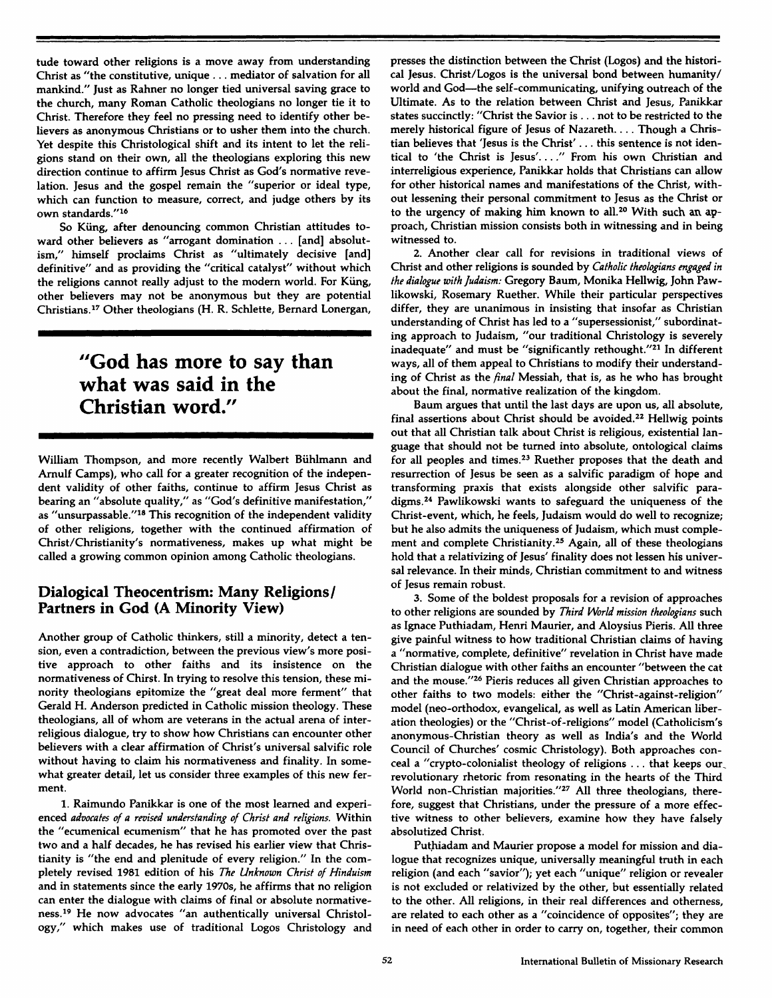**tude toward other religions is a move away from understanding Christ as "the constitutive, unique . .. mediator of salvation for all mankind." Just as Rahner no longer tied universal saving grace to the church, many Roman Catholic theologians no longer tie it to Christ. Therefore they feel no pressing need to identify other believers as anonymous Christians or to usher them into the church. Yet despite this Christological shift and its intent to let the religions stand on their own, all the theologians exploring this new direction continue to affirm Jesus Christ as God's normative revelation. Jesus and the gospel remain the "superior or ideal type, which can function to measure, correct, and judge others by its own standards."<sup>16</sup>**

**So Küng, after denouncing common Christian attitudes toward other believers as "arrogant domination .. . [and] absolutism," himself proclaims Christ as "ultimately decisive [and] definitive" and as providing the "critical catalyst" without which the religions cannot really adjust to the modern world. For Küng, other believers may not be anonymous but they are potential Christians.<sup>17</sup> Other theologians (H. R. Schiette, Bernard Lonergan,** 

# **"God has more to say than what was said in the Christian word/'**

**William Thompson, and more recently Walbert Bühlmann and Arnulf Camps), who call for a greater recognition of the independent validity of other faiths, continue to affirm Jesus Christ as bearing an "absolute quality," as "God's definitive manifestation," as "unsurpassable."<sup>18</sup> This recognition of the independent validity of other religions, together with the continued affirmation of Christ/Christianity's normativeness, makes up what might be called a growing common opinion among Catholic theologians.** 

### **Dialogical Theocentrism: Many Religions/ Partners in God (A Minority View)**

**Another group of Catholic thinkers, still a minority, detect a tension, even a contradiction, between the previous view's more positive approach to other faiths and its insistence on the normativeness of Chirst. In trying to resolve this tension, these minority theologians epitomize the "great deal more ferment" that Gerald H. Anderson predicted in Catholic mission theology. These theologians, all of whom are veterans in the actual arena of interreligious dialogue, try to show how Christians can encounter other believers with a clear affirmation of Christ's universal salvific role without having to claim his normativeness and finality. In somewhat greater detail, let us consider three examples of this new ferment.** 

**1. Raimundo Panikkar is one of the most learned and experienced** *advocates of a revised understanding of Christ and religions.* **Within the "ecumenical ecumenism" that he has promoted over the past two and a half decades, he has revised his earlier view that Christianity is "the end and plenitude of every religion." In the completely revised 1981 edition of his** *The Unknown Christ of Hinduism*  **and in statements since the early 1970s, he affirms that no religion can enter the dialogue with claims of final or absolute normativeness.<sup>19</sup> He now advocates "an authentically universal Christology," which makes use of traditional Logos Christology and**  **presses the distinction between the Christ (Logos) and the historical Jesus. Christ/Logos is the universal bond between humanity/ world and God—the self-communicating, unifying outreach of the Ultimate. As to the relation between Christ and Jesus, Panikkar states succinctly: "Christ the Savior is .. . not to be restricted to the merely historical figure of Jesus of Nazareth.... Though a Christian believes that 'Jesus is the Christ' . .. this sentence is not identical to 'the Christ is Jesus'. ..." From his own Christian and interreligious experience, Panikkar holds that Christians can allow for other historical names and manifestations of the Christ, without lessening their personal commitment to Jesus as the Christ or to the urgency of making him known to all.<sup>20</sup> With such an approach, Christian mission consists both in witnessing and in being witnessed to.** 

**2. Another clear call for revisions in traditional views of Christ and other religions is sounded by** *Catholic theologians engaged in the dialogue with Judaism:* **Gregory Baum, Monika Hellwig, John Pawlikowski, Rosemary Ruether. While their particular perspectives differ, they are unanimous in insisting that insofar as Christian understanding of Christ has led to a "supersessionist," subordinating approach to Judaism, "our traditional Christology is severely inadequate" and must be "significantly rethought."<sup>21</sup> In different ways, all of them appeal to Christians to modify their understanding of Christ as the** *final* **Messiah, that is, as he who has brought about the final, normative realization of the kingdom.** 

**Baum argues that until the last days are upon us, all absolute, final assertions about Christ should be avoided.<sup>22</sup> Hellwig points out that all Christian talk about Christ is religious, existential language that should not be turned into absolute, ontological claims for all peoples and times.<sup>23</sup> Ruether proposes that the death and resurrection of Jesus be seen as a salvific paradigm of hope and transforming praxis that exists alongside other salvific paradigms.<sup>24</sup> Pawlikowski wants to safeguard the uniqueness of the Christ-event, which, he feels, Judaism would do well to recognize; but he also admits the uniqueness of Judaism, which must complement and complete Christianity.<sup>25</sup> Again, all of these theologians hold that a relativizing of Jesus' finality does not lessen his universal relevance. In their minds, Christian commitment to and witness of Jesus remain robust.** 

**3. Some of the boldest proposals for a revision of approaches to other religions are sounded by** *Third World mission theologians* **such as Ignace Puthiadam, Henri Maurier, and Aloysius Pieris. All three give painful witness to how traditional Christian claims of having a "normative, complete, definitive" revelation in Christ have made Christian dialogue with other faiths an encounter "between the cat and the mouse."<sup>26</sup> Pieris reduces all given Christian approaches to other faiths to two models: either the "Christ-against-religion" model (neo-orthodox, evangelical, as well as Latin American liberation theologies) or the "Christ-of-religions" model (Catholicism's anonymous-Christian theory as well as India's and the World Council of Churches' cosmic Christology). Both approaches conceal a "crypto-colonialist theology of religions . .. that keeps our^ revolutionary rhetoric from resonating in the hearts of the Third World non-Christian majorities."<sup>27</sup> All three theologians, therefore, suggest that Christians, under the pressure of a more effective witness to other believers, examine how they have falsely absolutized Christ.** 

**Puthiadam and Maurier propose a model for mission and dialogue that recognizes unique, universally meaningful truth in each religion (and each "savior"); yet each "unique" religion or revealer is not excluded or relativized by the other, but essentially related to the other. All religions, in their real differences and otherness, are related to each other as a "coincidence of opposites"; they are in need of each other in order to carry on, together, their common**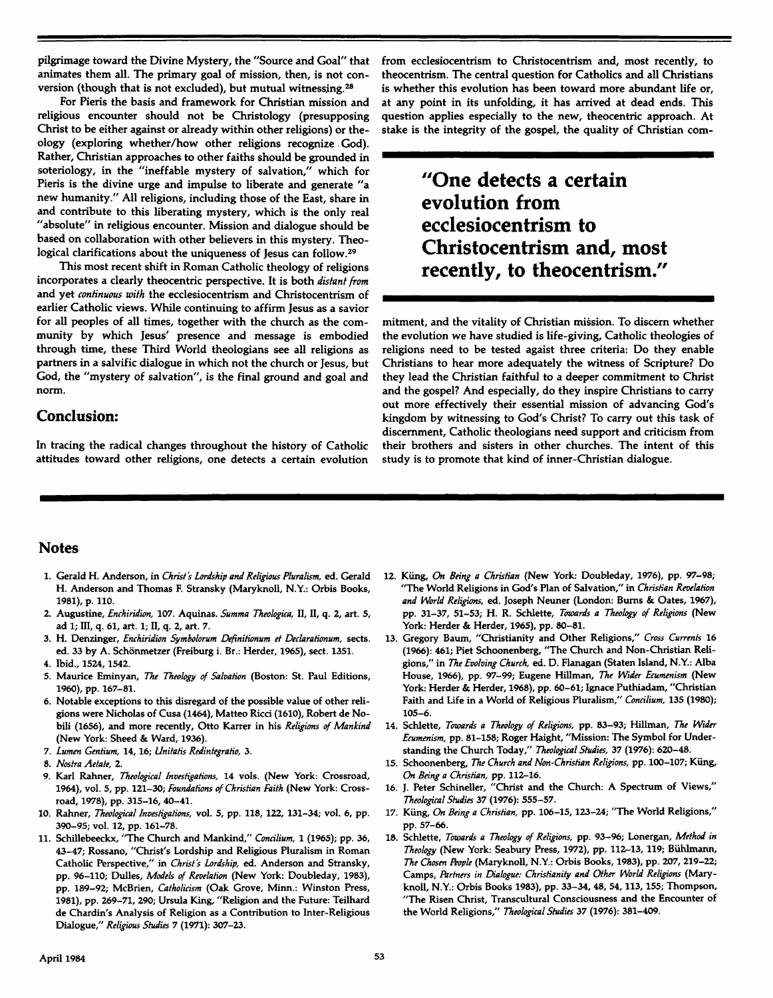**pilgrimage toward the Divine Mystery, the "Source and Goal" that animates them all. The primary goal of mission, then, is not conversion (though that is not excluded), but mutual witnessing.<sup>28</sup>**

**For Pieris the basis and framework for Christian mission and religious encounter should not be Christology (presupposing Christ to be either against or already within other religions) or theology (exploring whether/how other religions recognize God). Rather, Christian approaches to other faiths should be grounded in soteriology, in the "ineffable mystery of salvation," which for Pieris is the divine urge and impulse to liberate and generate "a new humanity." All religions, including those of the East, share in and contribute to this liberating mystery, which is the only real "absolute" in religious encounter. Mission and dialogue should be based on collaboration with other believers in this mystery. Theological clarifications about the uniqueness of Jesus can follow.<sup>29</sup>**

**This most recent shift in Roman Catholic theology of religions incorporates a clearly theocentric perspective. It is both** *distant from*  **and yet** *continuous with* **the ecclesiocentrism and Christocentrism of earlier Catholic views. While continuing to affirm Jesus as a savior for all peoples of all times, together with the church as the community by which Jesus' presence and message is embodied through time, these Third World theologians see all religions as partners in a salvific dialogue in which not the church or Jesus, but God, the "mystery of salvation", is the final ground and goal and norm.** 

#### **Conclusion:**

**In tracing the radical changes throughout the history of Catholic attitudes toward other religions, one detects a certain evolution**  **from ecclesiocentrism to Christocentrism and, most recently, to theocentrism. The central question for Catholics and all Christians is whether this evolution has been toward more abundant life or, at any point in its unfolding, it has arrived at dead ends. This question applies especially to the new, theocentric approach. At stake is the integrity of the gospel, the quality of Christian com-**

# **"One detects a certain evolution from ecclesiocentrism to Christocentrism and, most recently, to theocentrism."**

**mitment, and the vitality of Christian mission. To discern whether the evolution we have studied is life-giving, Catholic theologies of religions need to be tested agaist three criteria: Do they enable Christians to hear more adequately the witness of Scripture? Do they lead the Christian faithful to a deeper commitment to Christ and the gospel? And especially, do they inspire Christians to carry out more effectively their essential mission of advancing God's kingdom by witnessing to God's Christ? To carry out this task of discernment, Catholic theologians need support and criticism from their brothers and sisters in other churches. The intent of this study is to promote that kind of inner-Christian dialogue.** 

#### **Notes**

- 1. **Gerald H. Anderson, in** *Christ's Lordship and Religious Pluralism,* **ed. Gerald H. Anderson and Thomas F. Stransky (Maryknoll, N.Y.: Orbis Books, 1981), p. 110.**
- **2. Augustine,** *Enchiridion,* **107. Aquinas.** *Summa Theologica,* **II, II, q. 2, art. 5, ad** 1; **III, q. 61, art. 1; II, q. 2, art.** 7.
- **3. H. Denzinger,** *Enchiridion Symbolorum Definitionum et Declarationum,* **sects, ed. 33 by A. Schönmetzer (Freiburg i. Br.: Herder, 1965), sect. 1351.**
- **4. Ibid., 1524,1542.**
- **5. Maurice Eminyan,** *The Theology of Salvation* **(Boston: St. Paul Editions, I960), pp. 167-81.**
- **6. Notable exceptions to this disregard of the possible value of other religions were Nicholas of Cusa (1464), Matteo Ricci (1610), Robert de Nobili (1656), and more recently. Otto Karrer in his** *Religions of Mankind*  **(New York: Sheed** & **Ward, 1936).**
- 7. *Lumen Gentium,* 14,16; *Unitatis Redintegratio,* 3.
- 8. *Nostra Aetate,* 2.
- **9. Karl Rahner,** *Theological Investigations,* **14 vols. (New York: Crossroad, 1964), vol.** 5, **pp. 121-30;** *Foundations of Christian Faith* **(New York: Crossroad, 1978), pp. 315-16, 40-41.**
- **10. Rahner,** *Theological Investigations,* **vol. 5, pp. 118, 122, 131-34; vol. 6, pp. 390-95; vol. 12, pp. 161-78.**
- **11. Schillebeeckx, 'The Church and Mankind,"** *Concilium,* **1 (1965); pp. 36, 43-47; Rossano, "Christ's Lordship and Religious Pluralism in Roman Catholic Perspective/' in** *Christ's Lordship,* **ed. Anderson and Stransky, pp. 96-110; Dulles,** *Models of Revelation* **(New York: Doubleday, 1983), pp. 189-92; McBrien,** *Catholicism* **(Oak Grove, Minn.: Winston Press, 1981), pp. 269-71, 290; Ursula King, "Religion and the Future: Teilhard de Chardin's Analysis of Religion as a Contribution to Inter-Religious Dialogue,"** *Religious Studies 7* **(1971): 307-23.**
- **12. Küng,** *On Being a Christian* **(New York: Doubleday, 1976), pp. 97-98; "The World Religions in God's Plan of Salvation," in** *Christian Revelation and World Religions,* **ed. Joseph Neuner (London: Burns & Oates, 1967), pp. 31-37, 51-53; H. R. Schiette,** *Towards a Theology of Religions* **(New York: Herder & Herder, 1965), pp. 80-81.**
- **13. Gregory Baum, "Christianity and Other Religions,"** *Cross Currents* **16 (1966): 461; Piet Schoonenberg, "The Church and Non-Christian Religions," in** *The Evolving Church,* **ed. D. Flanagan (Staten Island, N.Y.: Alba House, 1966), pp. 97-99; Eugene Hillman,** *The Wider Ecumenism* **(New York: Herder & Herder, 1968), pp. 60-61; Ignace Puthiadam, "Christian Faith and Life in a World of Religious Pluralism,"** *Concilium,* **135 (1980); 105-6.**
- **14. Schiette,** *Towards a Theology of Religions,* **pp. 83-93; Hillman,** *The Wider Ecumenism,* **pp. 81-158; Roger Haight, "Mission: The Symbol for Understanding the Church Today,"** *Theological Studies,* **37 (1976): 620-48.**
- 15. **Schoonenberg,** *The Church and Non-Christian Religions,* pp. 100-107; Küng, *On Being a Christian,* pp. 112-16.
- **16. J. Peter Schineller, "Christ and the Church: A Spectrum of Views,"**  *Theological Studies* 37 (1976): *555-57.*
- **17. Küng,** *On Being a Christian,* **pp. 106-15,123-24; "The World Religions," pp. 57-66.**
- 18. **Schiette,** *Towards a Theology of Religions,* **pp. 93-96; Lonergan,** *Method in Theology* **(New York: Seabury Press, 1972), pp. 112-13, 119; Bühlmann,**  *The Chosen People* **(Maryknoll, N.Y.: Orbis Books, 1983), pp. 207, 219-22;**  Camps, *Partners in Dialogue: Christianity and Other World Religions* **(Maryknoll, N.Y.: Orbis Books 1983), pp. 33-34, 48, 54,113,155; Thompson, "The Risen Christ, Transcultural Consciousness and the Encounter of the World Religions,"** *Theological Studies* **37 (1976): 381-409.**